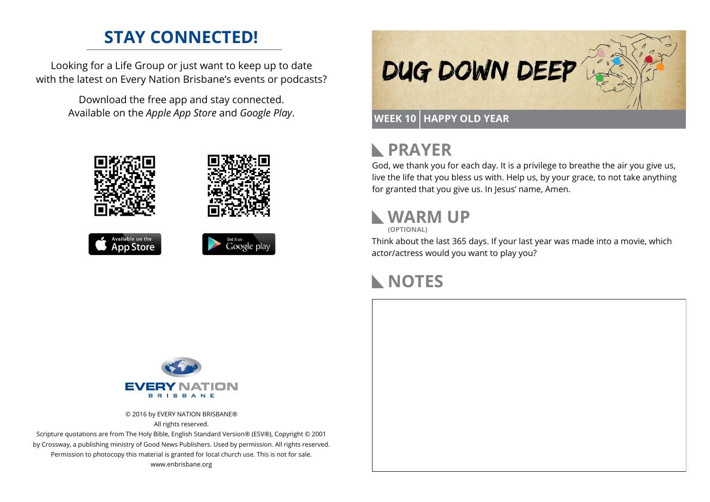### **STAY CONNECTED!**

Looking for a Life Group or just want to keep up to date with the latest on Every Nation Brisbane's events or podcasts?

> Download the free app and stay connected. Available on the *Apple App Store* and *Google Play*.











# **PRAYER**

God, we thank you for each day. It is a privilege to breathe the air you give us, live the life that you bless us with. Help us, by your grace, to not take anything for granted that you give us. In Jesus' name, Amen.

# **WARM UP**

**(OPTIONAL)**

Think about the last 365 days. If your last year was made into a movie, which actor/actress would you want to play you?

### **NOTES**



© 2016 by EVERY NATION BRISBANE® All rights reserved.

Scripture quotations are from The Holy Bible, English Standard Version® (ESV®), Copyright © 2001 by Crossway, a publishing ministry of Good News Publishers. Used by permission. All rights reserved. Permission to photocopy this material is granted for local church use. This is not for sale. www.enbrisbane.org